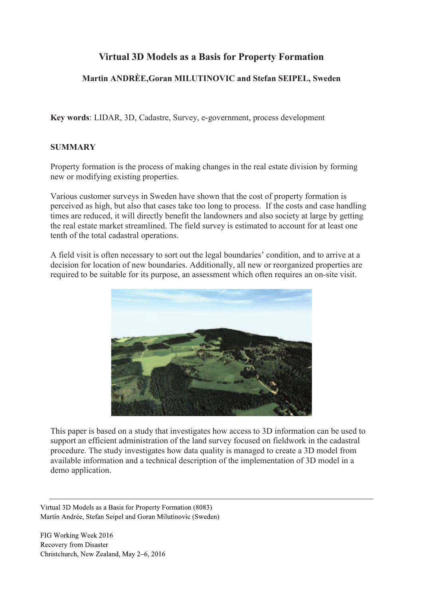# **Virtual 3D Models as a Basis for Property Formation**

# Martin ANDRÈE, Goran MILUTINOVIC and Stefan SEIPEL, Sweden

Key words: LIDAR, 3D, Cadastre, Survey, e-government, process development

#### **SUMMARY**

Property formation is the process of making changes in the real estate division by forming new or modifying existing properties.

Various customer surveys in Sweden have shown that the cost of property formation is perceived as high, but also that cases take too long to process. If the costs and case handling times are reduced, it will directly benefit the landowners and also society at large by getting the real estate market streamlined. The field survey is estimated to account for at least one tenth of the total cadastral operations.

A field visit is often necessary to sort out the legal boundaries' condition, and to arrive at a decision for location of new boundaries. Additionally, all new or reorganized properties are required to be suitable for its purpose, an assessment which often requires an on-site visit.



This paper is based on a study that investigates how access to 3D information can be used to support an efficient administration of the land survey focused on fieldwork in the cadastral procedure. The study investigates how data quality is managed to create a 3D model from available information and a technical description of the implementation of 3D model in a demo application.

Virtual 3D Models as a Basis for Property Formation (8083) Martin Andrée, Stefan Seipel and Goran Milutinovic (Sweden)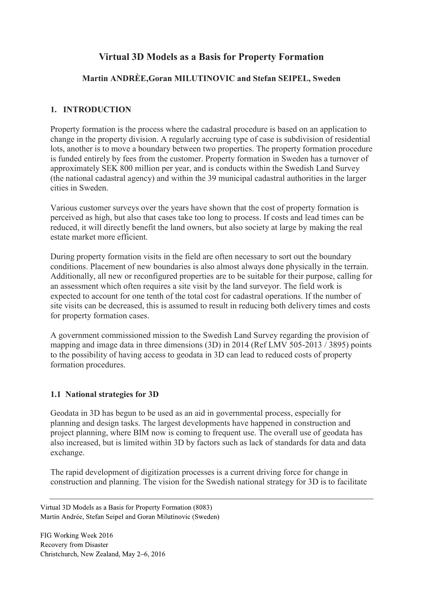# **Virtual 3D Models as a Basis for Property Formation**

### **Martin ANDRÈE,Goran MILUTINOVIC and Stefan SEIPEL, Sweden**

#### **1. INTRODUCTION**

Property formation is the process where the cadastral procedure is based on an application to change in the property division. A regularly accruing type of case is subdivision of residential lots, another is to move a boundary between two properties. The property formation procedure is funded entirely by fees from the customer. Property formation in Sweden has a turnover of approximately SEK 800 million per year, and is conducts within the Swedish Land Survey (the national cadastral agency) and within the 39 municipal cadastral authorities in the larger cities in Sweden.

Various customer surveys over the years have shown that the cost of property formation is perceived as high, but also that cases take too long to process. If costs and lead times can be reduced, it will directly benefit the land owners, but also society at large by making the real estate market more efficient.

During property formation visits in the field are often necessary to sort out the boundary conditions. Placement of new boundaries is also almost always done physically in the terrain. Additionally, all new or reconfigured properties are to be suitable for their purpose, calling for an assessment which often requires a site visit by the land surveyor. The field work is expected to account for one tenth of the total cost for cadastral operations. If the number of site visits can be decreased, this is assumed to result in reducing both delivery times and costs for property formation cases.

A government commissioned mission to the Swedish Land Survey regarding the provision of mapping and image data in three dimensions (3D) in 2014 (Ref LMV 505-2013 / 3895) points to the possibility of having access to geodata in 3D can lead to reduced costs of property formation procedures.

#### **1.1 National strategies for 3D**

Geodata in 3D has begun to be used as an aid in governmental process, especially for planning and design tasks. The largest developments have happened in construction and project planning, where BIM now is coming to frequent use. The overall use of geodata has also increased, but is limited within 3D by factors such as lack of standards for data and data exchange.

The rapid development of digitization processes is a current driving force for change in construction and planning. The vision for the Swedish national strategy for 3D is to facilitate

Virtual 3D Models as a Basis for Property Formation (8083) Martin Andrée, Stefan Seipel and Goran Milutinovic (Sweden)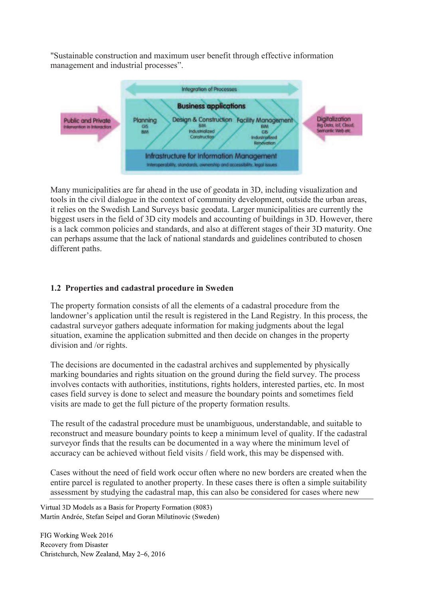"Sustainable construction and maximum user benefit through effective information management and industrial processes".



Many municipalities are far ahead in the use of geodata in 3D, including visualization and tools in the civil dialogue in the context of community development, outside the urban areas, it relies on the Swedish Land Surveys basic geodata. Larger municipalities are currently the biggest users in the field of 3D city models and accounting of buildings in 3D. However, there is a lack common policies and standards, and also at different stages of their 3D maturity. One can perhaps assume that the lack of national standards and guidelines contributed to chosen different paths.

## **1.2 Properties and cadastral procedure in Sweden**

The property formation consists of all the elements of a cadastral procedure from the landowner's application until the result is registered in the Land Registry. In this process, the cadastral surveyor gathers adequate information for making judgments about the legal situation, examine the application submitted and then decide on changes in the property division and /or rights.

The decisions are documented in the cadastral archives and supplemented by physically marking boundaries and rights situation on the ground during the field survey. The process involves contacts with authorities, institutions, rights holders, interested parties, etc. In most cases field survey is done to select and measure the boundary points and sometimes field visits are made to get the full picture of the property formation results.

The result of the cadastral procedure must be unambiguous, understandable, and suitable to reconstruct and measure boundary points to keep a minimum level of quality. If the cadastral surveyor finds that the results can be documented in a way where the minimum level of accuracy can be achieved without field visits / field work, this may be dispensed with.

Cases without the need of field work occur often where no new borders are created when the entire parcel is regulated to another property. In these cases there is often a simple suitability assessment by studying the cadastral map, this can also be considered for cases where new

Virtual 3D Models as a Basis for Property Formation (8083) Martin Andrée, Stefan Seipel and Goran Milutinovic (Sweden)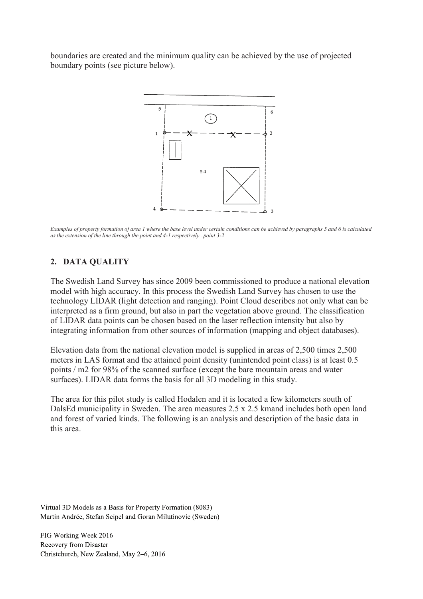boundaries are created and the minimum quality can be achieved by the use of projected boundary points (see picture below).



*Examples of property formation of area 1 where the base level under certain conditions can be achieved by paragraphs 5 and 6 is calculated as the extension of the line through the point and 4-1 respectively . point 3-2* 

#### **2. DATA QUALITY**

The Swedish Land Survey has since 2009 been commissioned to produce a national elevation model with high accuracy. In this process the Swedish Land Survey has chosen to use the technology LIDAR (light detection and ranging). Point Cloud describes not only what can be interpreted as a firm ground, but also in part the vegetation above ground. The classification of LIDAR data points can be chosen based on the laser reflection intensity but also by integrating information from other sources of information (mapping and object databases).

Elevation data from the national elevation model is supplied in areas of 2,500 times 2,500 meters in LAS format and the attained point density (unintended point class) is at least 0.5 points / m2 for 98% of the scanned surface (except the bare mountain areas and water surfaces). LIDAR data forms the basis for all 3D modeling in this study.

The area for this pilot study is called Hodalen and it is located a few kilometers south of DalsEd municipality in Sweden. The area measures 2.5 x 2.5 kmand includes both open land and forest of varied kinds. The following is an analysis and description of the basic data in this area.

Virtual 3D Models as a Basis for Property Formation (8083) Martin Andrée, Stefan Seipel and Goran Milutinovic (Sweden)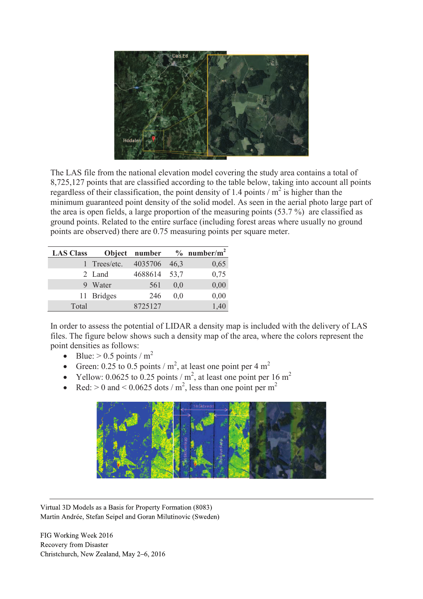

The LAS file from the national elevation model covering the study area contains a total of 8,725,127 points that are classified according to the table below, taking into account all points regardless of their classification, the point density of 1.4 points  $/m<sup>2</sup>$  is higher than the minimum guaranteed point density of the solid model. As seen in the aerial photo large part of the area is open fields, a large proportion of the measuring points (53.7 %) are classified as ground points. Related to the entire surface (including forest areas where usually no ground points are observed) there are 0.75 measuring points per square meter.

| <b>LAS Class</b> |              | Object number |      | $\%$ number/m <sup>2</sup> |
|------------------|--------------|---------------|------|----------------------------|
|                  | 1 Trees/etc. | 4035706       | 46,3 | 0,65                       |
|                  | 2 Land       | 4688614       | 53,7 | 0,75                       |
|                  | Water        | 561           | 0,0  | 0,00                       |
|                  | 11 Bridges   | 246           | 0.0  | 0,00                       |
| Total            |              | 8725127       |      | 1,40                       |

In order to assess the potential of LIDAR a density map is included with the delivery of LAS files. The figure below shows such a density map of the area, where the colors represent the point densities as follows:

- Blue:  $> 0.5$  points / m<sup>2</sup>
- Green: 0.25 to 0.5 points /  $m^2$ , at least one point per 4  $m^2$
- Yellow: 0.0625 to 0.25 points /  $m^2$ , at least one point per 16  $m^2$
- Red:  $> 0$  and  $< 0.0625$  dots / m<sup>2</sup>, less than one point per m<sup>2</sup>



Virtual 3D Models as a Basis for Property Formation (8083) Martin Andrée, Stefan Seipel and Goran Milutinovic (Sweden)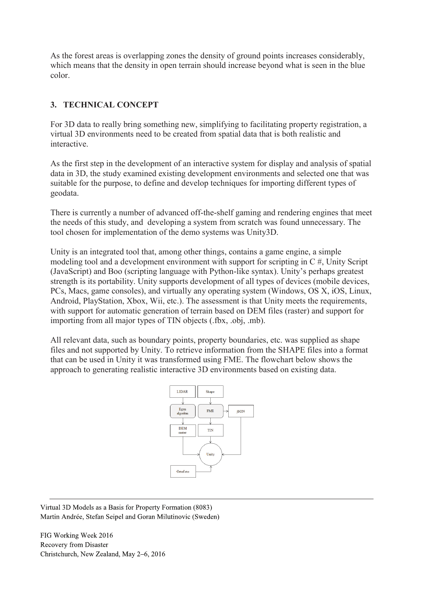As the forest areas is overlapping zones the density of ground points increases considerably, which means that the density in open terrain should increase beyond what is seen in the blue color.

## **3. TECHNICAL CONCEPT**

For 3D data to really bring something new, simplifying to facilitating property registration, a virtual 3D environments need to be created from spatial data that is both realistic and interactive.

As the first step in the development of an interactive system for display and analysis of spatial data in 3D, the study examined existing development environments and selected one that was suitable for the purpose, to define and develop techniques for importing different types of geodata.

There is currently a number of advanced off-the-shelf gaming and rendering engines that meet the needs of this study, and developing a system from scratch was found unnecessary. The tool chosen for implementation of the demo systems was Unity3D.

Unity is an integrated tool that, among other things, contains a game engine, a simple modeling tool and a development environment with support for scripting in C #, Unity Script (JavaScript) and Boo (scripting language with Python-like syntax). Unity's perhaps greatest strength is its portability. Unity supports development of all types of devices (mobile devices, PCs, Macs, game consoles), and virtually any operating system (Windows, OS X, iOS, Linux, Android, PlayStation, Xbox, Wii, etc.). The assessment is that Unity meets the requirements, with support for automatic generation of terrain based on DEM files (raster) and support for importing from all major types of TIN objects (.fbx, .obj, .mb).

All relevant data, such as boundary points, property boundaries, etc. was supplied as shape files and not supported by Unity. To retrieve information from the SHAPE files into a format that can be used in Unity it was transformed using FME. The flowchart below shows the approach to generating realistic interactive 3D environments based on existing data.



Virtual 3D Models as a Basis for Property Formation (8083) Martin Andrée, Stefan Seipel and Goran Milutinovic (Sweden)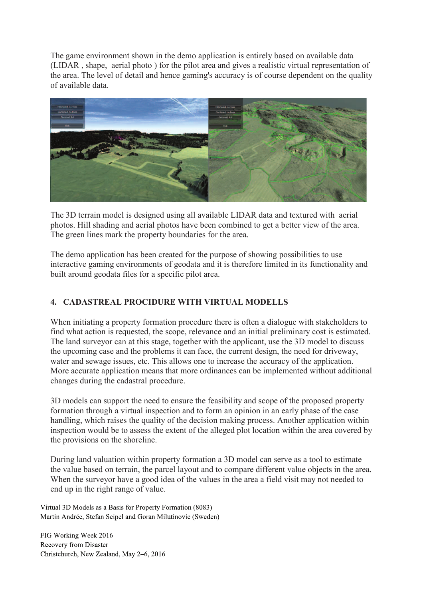The game environment shown in the demo application is entirely based on available data (LIDAR , shape, aerial photo ) for the pilot area and gives a realistic virtual representation of the area. The level of detail and hence gaming's accuracy is of course dependent on the quality of available data.



The 3D terrain model is designed using all available LIDAR data and textured with aerial photos. Hill shading and aerial photos have been combined to get a better view of the area. The green lines mark the property boundaries for the area.

The demo application has been created for the purpose of showing possibilities to use interactive gaming environments of geodata and it is therefore limited in its functionality and built around geodata files for a specific pilot area.

## **4. CADASTREAL PROCIDURE WITH VIRTUAL MODELLS**

When initiating a property formation procedure there is often a dialogue with stakeholders to find what action is requested, the scope, relevance and an initial preliminary cost is estimated. The land surveyor can at this stage, together with the applicant, use the 3D model to discuss the upcoming case and the problems it can face, the current design, the need for driveway, water and sewage issues, etc. This allows one to increase the accuracy of the application. More accurate application means that more ordinances can be implemented without additional changes during the cadastral procedure.

3D models can support the need to ensure the feasibility and scope of the proposed property formation through a virtual inspection and to form an opinion in an early phase of the case handling, which raises the quality of the decision making process. Another application within inspection would be to assess the extent of the alleged plot location within the area covered by the provisions on the shoreline.

During land valuation within property formation a 3D model can serve as a tool to estimate the value based on terrain, the parcel layout and to compare different value objects in the area. When the surveyor have a good idea of the values in the area a field visit may not needed to end up in the right range of value.

Virtual 3D Models as a Basis for Property Formation (8083) Martin Andrée, Stefan Seipel and Goran Milutinovic (Sweden)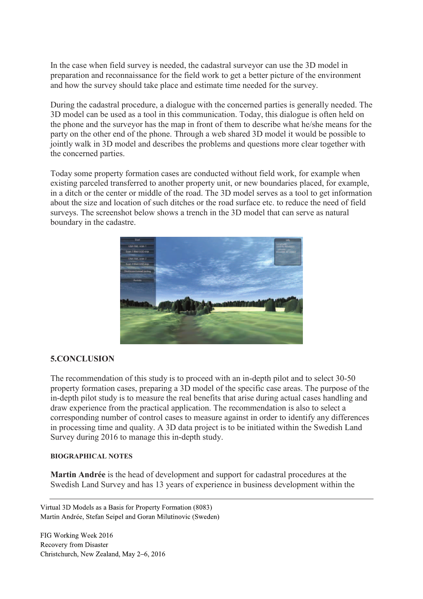In the case when field survey is needed, the cadastral surveyor can use the 3D model in preparation and reconnaissance for the field work to get a better picture of the environment and how the survey should take place and estimate time needed for the survey.

During the cadastral procedure, a dialogue with the concerned parties is generally needed. The 3D model can be used as a tool in this communication. Today, this dialogue is often held on the phone and the surveyor has the map in front of them to describe what he/she means for the party on the other end of the phone. Through a web shared 3D model it would be possible to jointly walk in 3D model and describes the problems and questions more clear together with the concerned parties.

Today some property formation cases are conducted without field work, for example when existing parceled transferred to another property unit, or new boundaries placed, for example, in a ditch or the center or middle of the road. The 3D model serves as a tool to get information about the size and location of such ditches or the road surface etc. to reduce the need of field surveys. The screenshot below shows a trench in the 3D model that can serve as natural boundary in the cadastre.



#### **5.CONCLUSION**

The recommendation of this study is to proceed with an in-depth pilot and to select 30-50 property formation cases, preparing a 3D model of the specific case areas. The purpose of the in-depth pilot study is to measure the real benefits that arise during actual cases handling and draw experience from the practical application. The recommendation is also to select a corresponding number of control cases to measure against in order to identify any differences in processing time and quality. A 3D data project is to be initiated within the Swedish Land Survey during 2016 to manage this in-depth study.

#### **BIOGRAPHICAL NOTES**

**Martin Andrée** is the head of development and support for cadastral procedures at the Swedish Land Survey and has 13 years of experience in business development within the

Virtual 3D Models as a Basis for Property Formation (8083) Martin Andrée, Stefan Seipel and Goran Milutinovic (Sweden)